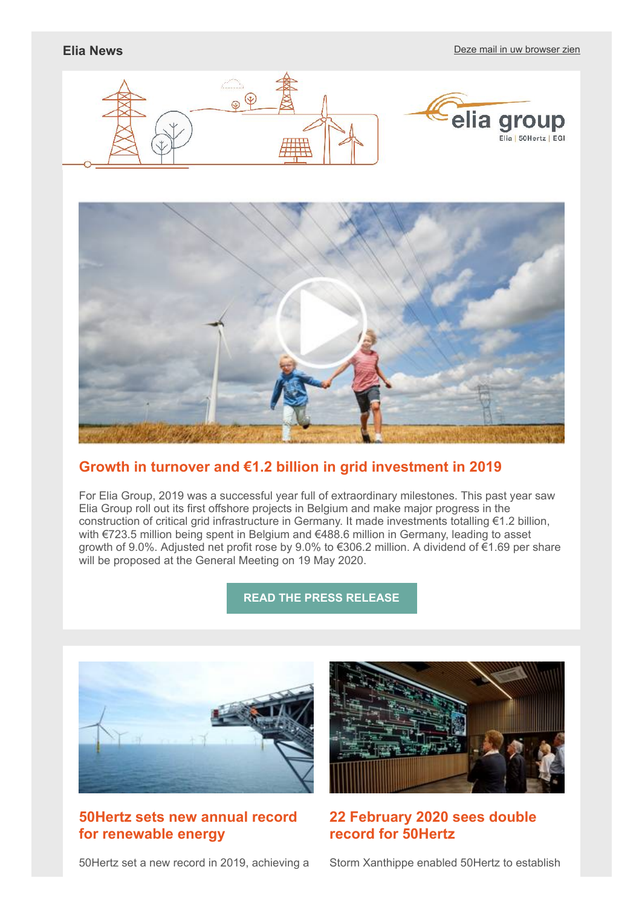



## **[Growth in turnover and €1.2 billion in grid investment in 2019](http://link.newsletters.elia.be/mm/LC_7309_935827_G9L5H3ZQDU8N_41282_G3mlNZvc3pZ5Y5-DP+Agprbqch7B63vise4k8pdo3HQtJIDzSkQ5KLqADmrZ-uT3umz+-DUE9t3y+9uq0rmDCA==.act)**

For Elia Group, 2019 was a successful year full of extraordinary milestones. This past year saw Elia Group roll out its first offshore projects in Belgium and make major progress in the construction of critical grid infrastructure in Germany. It made investments totalling €1.2 billion, with €723.5 million being spent in Belgium and €488.6 million in Germany, leading to asset growth of 9.0%. Adjusted net profit rose by 9.0% to €306.2 million. A dividend of €1.69 per share will be proposed at the General Meeting on 19 May 2020.

## **[READ THE PRESS RELEASE](http://link.newsletters.elia.be/mm/LC_7309_935827_G9L5H3ZQDU8N_41283_Mcm8fKIcpJxrCyyJOP9gvabc-AmS+CsJrfGK38CrN7zgej+rJVR6WbP3Lo0f9AZ2JJ4QEp+lO04nub-VtWzuSbmQQgnqVC2S8ftuHUoaIny46b2dvrOIAd2EqnhAqIl6.act)**



# **50Hertz sets new annual record for renewable energy**

50Hertz set a new record in 2019, achieving a



# **22 February 2020 sees double record for 50Hertz**

Storm Xanthippe enabled 50Hertz to establish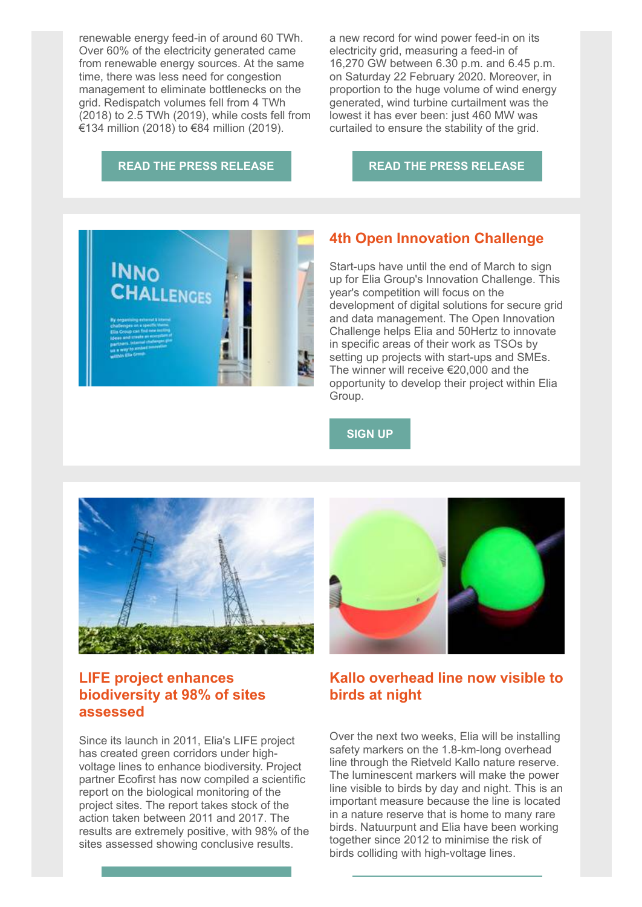renewable energy feed-in of around 60 TWh. Over 60% of the electricity generated came from renewable energy sources. At the same time, there was less need for congestion management to eliminate bottlenecks on the grid. Redispatch volumes fell from 4 TWh (2018) to 2.5 TWh (2019), while costs fell from €134 million (2018) to €84 million (2019).

a new record for wind power feed-in on its electricity grid, measuring a feed-in of 16,270 GW between 6.30 p.m. and 6.45 p.m. on Saturday 22 February 2020. Moreover, in proportion to the huge volume of wind energy generated, wind turbine curtailment was the lowest it has ever been: just 460 MW was curtailed to ensure the stability of the grid.

#### **[READ THE PRESS RELEASE](http://link.newsletters.elia.be/mm/LC_7309_935827_G9L5H3ZQDU8N_41284_AsmwIMgiM2yBfyIcSnszW-m09rwxlremN3lPq56dQZENwjOcXCoF1Vc81P57Ql+ZC2AlqW-ASdz4fh1gvkcZaDET9FxDS9Gc+hMJEV4YmFDphqUJdHwjD7W2K50oHN8mR-1EcBc9lwEkY2VKwvu2C2wrjMSoNi7eZUk3bCBMu4Z-IEunyH6KjPo95ejNf5MlGy-ulKKaIalO-oLJZKFBt+GprXFLMo0yNNqFaZJhzgM=.act)**

**[READ THE PRESS RELEASE](http://link.newsletters.elia.be/mm/LC_7309_935827_G9L5H3ZQDU8N_41285_Xtb7+0R7Izl6rIdwLl7qVPWfMDMjods7PM+8KxiWrksROLA1qBTb3aUygCT8stGuJZZ4eAoJlq9oywx4EVG8tQHJrh6CerVX7zXH6S5OEASFi4K692X3RWhcZQyALWPfSiZQ3v1A7off4iq8uSpxyMJT9h4w+tt64hF5upmO6HwSqh6Ei6jWMK7FLJWD9EpjCk4wHwgwqB5T4-kP+QdWQQKdOU14MKgOKL-ZGwf6W20=.act)**



## **4th Open Innovation Challenge**

Start-ups have until the end of March to sign up for Elia Group's Innovation Challenge. This year's competition will focus on the development of digital solutions for secure grid and data management. The Open Innovation Challenge helps Elia and 50Hertz to innovate in specific areas of their work as TSOs by setting up projects with start-ups and SMEs. The winner will receive €20,000 and the opportunity to develop their project within Elia Group.

#### **[SIGN UP](http://link.newsletters.elia.be/mm/LC_7309_935827_G9L5H3ZQDU8N_41286_-y5GqFx-VGUgDLioxRNaRmjiH9b0vhxFAFv3jIwdp94NBwCvmARiOoCG3smjODZvWlxBbFHIv3BDW-pFKBUL6tjmArkV2Np6nzKTyq0Babt04a3k5kwWzOrUZHaE5V9cq9ntvDCOmv0RfCFr8IO0WA==.act)**



# **LIFE project enhances biodiversity at 98% of sites assessed**

Since its launch in 2011, Elia's LIFE project has created green corridors under highvoltage lines to enhance biodiversity. Project partner Ecofirst has now compiled a scientific report on the biological monitoring of the project sites. The report takes stock of the action taken between 2011 and 2017. The results are extremely positive, with 98% of the sites assessed showing conclusive results.



## **Kallo overhead line now visible to birds at night**

Over the next two weeks, Elia will be installing safety markers on the 1.8-km-long overhead line through the Rietveld Kallo nature reserve. The luminescent markers will make the power line visible to birds by day and night. This is an important measure because the line is located in a nature reserve that is home to many rare birds. Natuurpunt and Elia have been working together since 2012 to minimise the risk of birds colliding with high-voltage lines.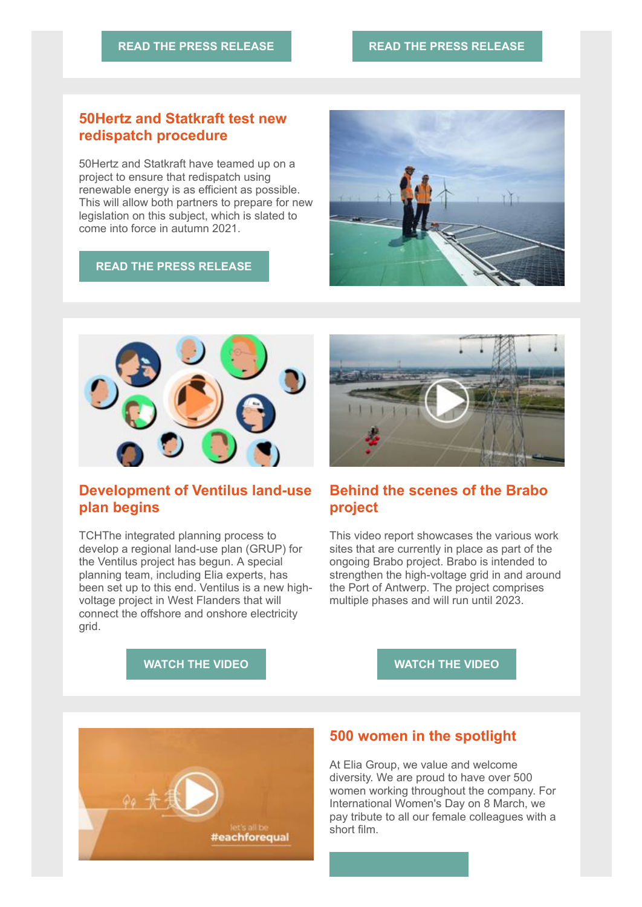## **50Hertz and Statkraft test new redispatch procedure**

50Hertz and Statkraft have teamed up on a project to ensure that redispatch using renewable energy is as efficient as possible. This will allow both partners to prepare for new legislation on this subject, which is slated to come into force in autumn 2021.

#### **[READ THE PRESS RELEASE](http://link.newsletters.elia.be/mm/LC_7309_935827_G9L5H3ZQDU8N_41289_TkWhPfgfpxIIdNgYxu9-qI9ToMCeBamVMHgj7RgSFCfTtHb35Gk795uV6i5Gf3u+K6Rv4UF29rOeVJWF55-wtv3aTZ7qBKY-FAtpo8ahW8gasNc3ak6xMg35AuvuY+7dddP0YW-FIqg+1O0HyXRgDMAP1S2R98S65q5mc+-gThQ1U2qAzXKBmbNJZJpiwKhGocTuodaNiLwKI81cb3Yhn6zS46m+QUNO8cu6bUmeSMw=.act)**



# **Development of Ventilus land-use plan begins**

TCHThe integrated planning process to develop a regional land-use plan (GRUP) for the Ventilus project has begun. A special planning team, including Elia experts, has been set up to this end. Ventilus is a new highvoltage project in West Flanders that will connect the offshore and onshore electricity grid.



# **Behind the scenes of the Brabo project**

This video report showcases the various work sites that are currently in place as part of the ongoing Brabo project. Brabo is intended to strengthen the high-voltage grid in and around the Port of Antwerp. The project comprises multiple phases and will run until 2023.

**[WATCH THE VIDEO](http://link.newsletters.elia.be/mm/LC_7309_935827_G9L5H3ZQDU8N_41291_lPlBsTH8UybR80fBEtvmwXwZKQcPaI4WzgZNXMorjc+AwT6q6Ame-9aRdvlbni9h1uDFLB7a0BMZDofU6GI-4NeOOrs+Whfn6tz98b34ads=.act)**

#### **[WATCH THE VIDEO](http://link.newsletters.elia.be/mm/LC_7309_935827_G9L5H3ZQDU8N_41293_JIZAHtTW12CubbAQUJVwh7p3jd6PUBS7pR5zCICP2IUSUD-ZZLo6ihmPKGGe2yULGkUtCcM4D6AwIf73kgqLqg==.act)**



## **500 women in the spotlight**

At Elia Group, we value and welcome diversity. We are proud to have over 500 women working throughout the company. For International Women's Day on 8 March, we pay tribute to all our female colleagues with a short film.